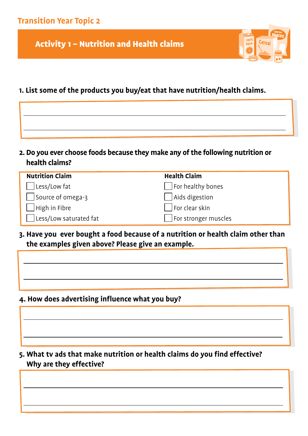Activity 1 – Nutrition and Health claims

# $100\%$ <br>Juice Cerea

# **1. List some of the products you buy/eat that have nutrition/health claims.**

| 2. Do you ever choose foods because they make any of the following nutrition or |
|---------------------------------------------------------------------------------|
| health claims?                                                                  |

| <b>Nutrition Claim</b> | <b>Health Claim</b>  |
|------------------------|----------------------|
| Less/Low fat           | For healthy bones    |
| Source of omega-3      | Aids digestion       |
| $\vert$ High in Fibre  | For clear skin       |
| Less/Low saturated fat | For stronger muscles |

**3. Have you ever bought a food because of a nutrition or health claim other than the examples given above? Please give an example.**

**4. How does advertising influence what you buy?** 

**5. What tv ads that make nutrition or health claims do you find effective? Why are they effective?**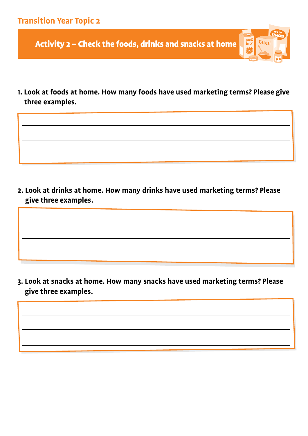Activity 2 – Check the foods, drinks and snacks at home

**1. Look at foods at home. How many foods have used marketing terms? Please give three examples.**

 $\begin{array}{|c|c|} \hline 100\% \\ \hline \end{array}$ 

Cerea

**2. Look at drinks at home. How many drinks have used marketing terms? Please give three examples.**

**3. Look at snacks at home. How many snacks have used marketing terms? Please give three examples.**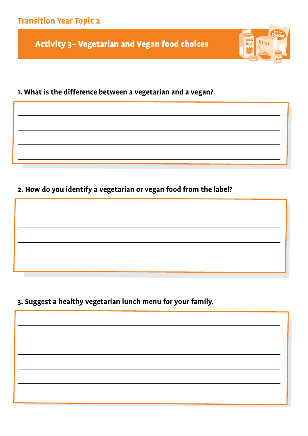**Transition Year Topic 2**

Activity 3– Vegetarian and Vegan food choices

100%<br>Juice

Cerea

# **1. What is the difference between a vegetarian and a vegan?**

#### **2. How do you identify a vegetarian or vegan food from the label?**

## **3. Suggest a healthy vegetarian lunch menu for your family.**

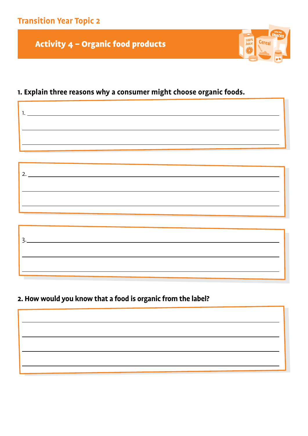**Transition Year Topic 2**

Activity 4 – Organic food products

# $100\%$ <br>Juice Cerea

# **1. Explain three reasons why a consumer might choose organic foods.**

# **2. How would you know that a food is organic from the label?**